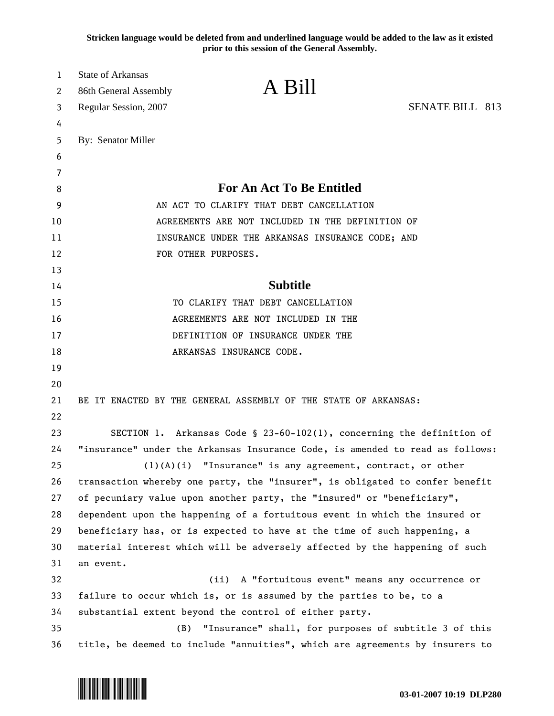**Stricken language would be deleted from and underlined language would be added to the law as it existed prior to this session of the General Assembly.**

| 1        | <b>State of Arkansas</b> |                                                                               |                 |
|----------|--------------------------|-------------------------------------------------------------------------------|-----------------|
| 2        | 86th General Assembly    | A Bill                                                                        |                 |
| 3        | Regular Session, 2007    |                                                                               | SENATE BILL 813 |
| 4        |                          |                                                                               |                 |
| 5        | By: Senator Miller       |                                                                               |                 |
| 6        |                          |                                                                               |                 |
| 7        |                          |                                                                               |                 |
| 8        |                          | <b>For An Act To Be Entitled</b>                                              |                 |
| 9        |                          | AN ACT TO CLARIFY THAT DEBT CANCELLATION                                      |                 |
| 10       |                          | AGREEMENTS ARE NOT INCLUDED IN THE DEFINITION OF                              |                 |
| 11       |                          | INSURANCE UNDER THE ARKANSAS INSURANCE CODE; AND                              |                 |
| 12       |                          | FOR OTHER PURPOSES.                                                           |                 |
| 13<br>14 |                          | <b>Subtitle</b>                                                               |                 |
| 15       |                          | TO CLARIFY THAT DEBT CANCELLATION                                             |                 |
| 16       |                          | AGREEMENTS ARE NOT INCLUDED IN THE                                            |                 |
| 17       |                          | DEFINITION OF INSURANCE UNDER THE                                             |                 |
| 18       |                          | ARKANSAS INSURANCE CODE.                                                      |                 |
| 19       |                          |                                                                               |                 |
| 20       |                          |                                                                               |                 |
| 21       |                          | BE IT ENACTED BY THE GENERAL ASSEMBLY OF THE STATE OF ARKANSAS:               |                 |
| 22       |                          |                                                                               |                 |
| 23       |                          | SECTION 1. Arkansas Code § 23-60-102(1), concerning the definition of         |                 |
| 24       |                          | "insurance" under the Arkansas Insurance Code, is amended to read as follows: |                 |
| 25       |                          | $(1)(A)(i)$ "Insurance" is any agreement, contract, or other                  |                 |
| 26       |                          | transaction whereby one party, the "insurer", is obligated to confer benefit  |                 |
| 27       |                          | of pecuniary value upon another party, the "insured" or "beneficiary",        |                 |
| 28       |                          | dependent upon the happening of a fortuitous event in which the insured or    |                 |
| 29       |                          | beneficiary has, or is expected to have at the time of such happening, a      |                 |
| 30       |                          | material interest which will be adversely affected by the happening of such   |                 |
| 31       | an event.                |                                                                               |                 |
| 32       |                          | (ii) A "fortuitous event" means any occurrence or                             |                 |
| 33       |                          | failure to occur which is, or is assumed by the parties to be, to a           |                 |
| 34       |                          | substantial extent beyond the control of either party.                        |                 |
| 35       | (B)                      | "Insurance" shall, for purposes of subtitle 3 of this                         |                 |
| 36       |                          | title, be deemed to include "annuities", which are agreements by insurers to  |                 |

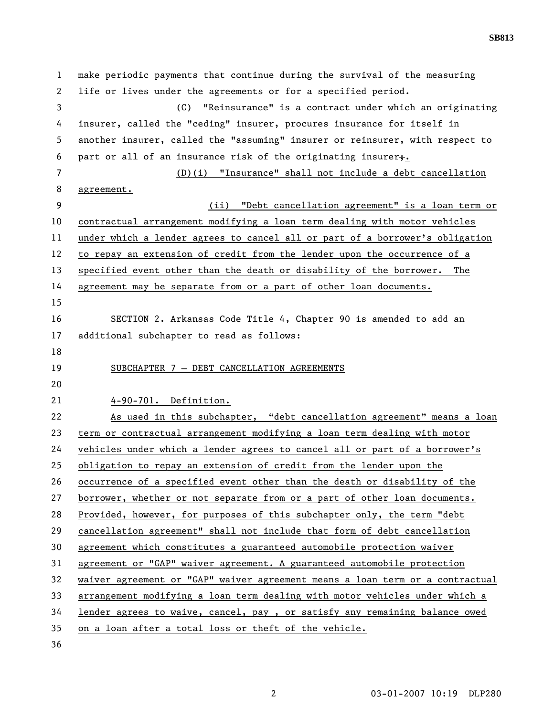1 make periodic payments that continue during the survival of the measuring 2 life or lives under the agreements or for a specified period. 3 (C) "Reinsurance" is a contract under which an originating 4 insurer, called the "ceding" insurer, procures insurance for itself in 5 another insurer, called the "assuming" insurer or reinsurer, with respect to 6 part or all of an insurance risk of the originating insurer $\ddot{ }$ . 7 (D)(i) "Insurance" shall not include a debt cancellation 8 agreement. 9 (ii) "Debt cancellation agreement" is a loan term or 10 contractual arrangement modifying a loan term dealing with motor vehicles 11 under which a lender agrees to cancel all or part of a borrower's obligation 12 to repay an extension of credit from the lender upon the occurrence of a 13 specified event other than the death or disability of the borrower. The 14 agreement may be separate from or a part of other loan documents. 15 16 SECTION 2. Arkansas Code Title 4, Chapter 90 is amended to add an 17 additional subchapter to read as follows: 18 19 SUBCHAPTER 7 — DEBT CANCELLATION AGREEMENTS 20 21 4-90-701. Definition. 22 As used in this subchapter, "debt cancellation agreement" means a loan 23 term or contractual arrangement modifying a loan term dealing with motor 24 vehicles under which a lender agrees to cancel all or part of a borrower's 25 obligation to repay an extension of credit from the lender upon the 26 occurrence of a specified event other than the death or disability of the 27 borrower, whether or not separate from or a part of other loan documents. 28 Provided, however, for purposes of this subchapter only, the term "debt 29 cancellation agreement" shall not include that form of debt cancellation 30 agreement which constitutes a guaranteed automobile protection waiver 31 agreement or "GAP" waiver agreement. A guaranteed automobile protection 32 waiver agreement or "GAP" waiver agreement means a loan term or a contractual 33 arrangement modifying a loan term dealing with motor vehicles under which a 34 lender agrees to waive, cancel, pay , or satisfy any remaining balance owed 35 on a loan after a total loss or theft of the vehicle.

36

**SB813**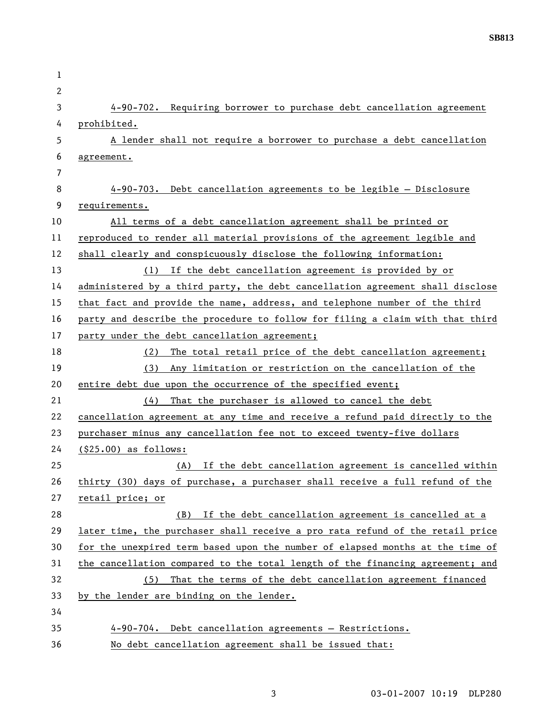1 2 3 4-90-702. Requiring borrower to purchase debt cancellation agreement 4 prohibited. 5 A lender shall not require a borrower to purchase a debt cancellation 6 agreement. 7 8 4-90-703. Debt cancellation agreements to be legible — Disclosure 9 requirements. 10 All terms of a debt cancellation agreement shall be printed or 11 reproduced to render all material provisions of the agreement legible and 12 shall clearly and conspicuously disclose the following information: 13 (1) If the debt cancellation agreement is provided by or 14 administered by a third party, the debt cancellation agreement shall disclose 15 that fact and provide the name, address, and telephone number of the third 16 party and describe the procedure to follow for filing a claim with that third 17 party under the debt cancellation agreement; 18 (2) The total retail price of the debt cancellation agreement; 19 (3) Any limitation or restriction on the cancellation of the 20 entire debt due upon the occurrence of the specified event; 21 (4) That the purchaser is allowed to cancel the debt 22 cancellation agreement at any time and receive a refund paid directly to the 23 purchaser minus any cancellation fee not to exceed twenty-five dollars 24 (\$25.00) as follows: 25 (A) If the debt cancellation agreement is cancelled within 26 thirty (30) days of purchase, a purchaser shall receive a full refund of the 27 retail price; or 28 (B) If the debt cancellation agreement is cancelled at a 29 later time, the purchaser shall receive a pro rata refund of the retail price 30 for the unexpired term based upon the number of elapsed months at the time of 31 the cancellation compared to the total length of the financing agreement; and 32 (5) That the terms of the debt cancellation agreement financed 33 by the lender are binding on the lender. 34 35 4-90-704. Debt cancellation agreements — Restrictions. 36 No debt cancellation agreement shall be issued that:

**SB813**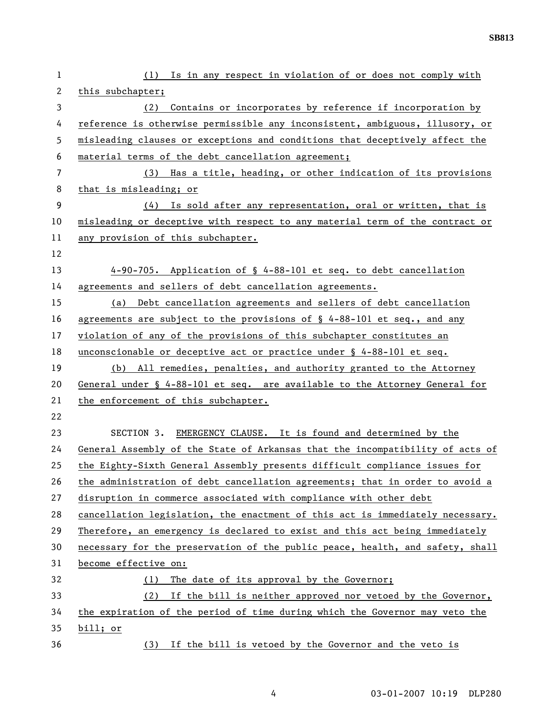| 1            | (1) Is in any respect in violation of or does not comply with                 |
|--------------|-------------------------------------------------------------------------------|
| $\mathbf{2}$ | this subchapter;                                                              |
| 3            | Contains or incorporates by reference if incorporation by<br>(2)              |
| 4            | reference is otherwise permissible any inconsistent, ambiguous, illusory, or  |
| 5            | misleading clauses or exceptions and conditions that deceptively affect the   |
| 6            | material terms of the debt cancellation agreement;                            |
| 7            | (3) Has a title, heading, or other indication of its provisions               |
| 8            | that is misleading; or                                                        |
| 9            | (4) Is sold after any representation, oral or written, that is                |
| 10           | misleading or deceptive with respect to any material term of the contract or  |
| 11           | any provision of this subchapter.                                             |
| 12           |                                                                               |
| 13           | 4-90-705. Application of $\frac{6}{9}$ 4-88-101 et seq. to debt cancellation  |
| 14           | agreements and sellers of debt cancellation agreements.                       |
| 15           | Debt cancellation agreements and sellers of debt cancellation<br>(a)          |
| 16           | agreements are subject to the provisions of $\S$ 4-88-101 et seq., and any    |
| 17           | violation of any of the provisions of this subchapter constitutes an          |
| 18           | unconscionable or deceptive act or practice under $\S$ 4-88-101 et seq.       |
| 19           | All remedies, penalties, and authority granted to the Attorney<br>(b)         |
| 20           | General under § 4-88-101 et seq. are available to the Attorney General for    |
| 21           | the enforcement of this subchapter.                                           |
| 22           |                                                                               |
| 23           | SECTION 3. EMERGENCY CLAUSE. It is found and determined by the                |
| 24           | General Assembly of the State of Arkansas that the incompatibility of acts of |
| 25           | the Eighty-Sixth General Assembly presents difficult compliance issues for    |
| 26           | the administration of debt cancellation agreements; that in order to avoid a  |
| 27           | disruption in commerce associated with compliance with other debt             |
| 28           | cancellation legislation, the enactment of this act is immediately necessary. |
| 29           | Therefore, an emergency is declared to exist and this act being immediately   |
| 30           | necessary for the preservation of the public peace, health, and safety, shall |
| 31           | become effective on:                                                          |
| 32           | The date of its approval by the Governor;<br>(1)                              |
| 33           | If the bill is neither approved nor vetoed by the Governor,<br>(2)            |
| 34           | the expiration of the period of time during which the Governor may veto the   |
| 35           | bill; or                                                                      |
| 36           | If the bill is vetoed by the Governor and the veto is<br>(3)                  |